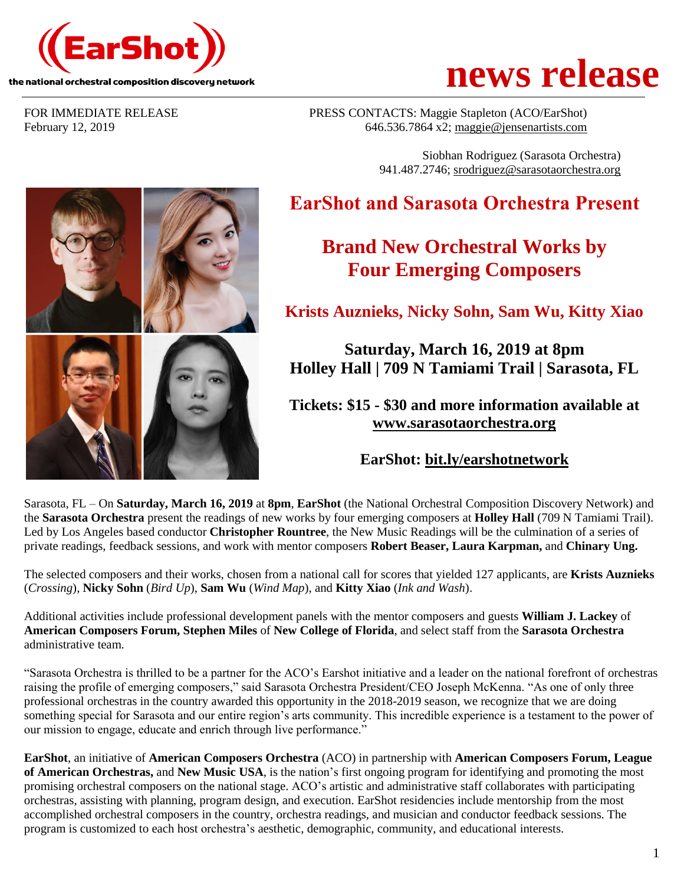

# **news release**

FOR IMMEDIATE RELEASE PRESS CONTACTS: Maggie Stapleton (ACO/EarShot) February 12, 2019 646.536.7864 x2; [maggie@jensenartists.com](mailto:maggie@jensenartists.com)

> Siobhan Rodriguez (Sarasota Orchestra) 941.487.2746; [srodriguez@sarasotaorchestra.org](mailto:srodriguez@sarasotaorchestra.org)

## **EarShot and Sarasota Orchestra Present**

# **Brand New Orchestral Works by Four Emerging Composers**

**Krists Auznieks, Nicky Sohn, Sam Wu, Kitty Xiao**

**Saturday, March 16, 2019 at 8pm Holley Hall | 709 N Tamiami Trail | Sarasota, FL**

**Tickets: \$15 - \$30 and more information available at [www.sarasotaorchestra.org](http://www.sarasotaorchestra.org/)**

#### **EarShot: [bit.ly/earshotnetwork](http://bit.ly/earshotnetwork)**

Sarasota, FL – On **Saturday, March 16, 2019** at **8pm**, **EarShot** (the National Orchestral Composition Discovery Network) and the **Sarasota Orchestra** present the readings of new works by four emerging composers at **Holley Hall** (709 N Tamiami Trail). Led by Los Angeles based conductor **Christopher Rountree**, the New Music Readings will be the culmination of a series of private readings, feedback sessions, and work with mentor composers **Robert Beaser, Laura Karpman,** and **Chinary Ung.**

The selected composers and their works, chosen from a national call for scores that yielded 127 applicants, are **Krists Auznieks** (*Crossing*), **Nicky Sohn** (*Bird Up*), **Sam Wu** (*Wind Map*), and **Kitty Xiao** (*Ink and Wash*).

Additional activities include professional development panels with the mentor composers and guests **William J. Lackey** of **American Composers Forum, Stephen Miles** of **New College of Florida**, and select staff from the **Sarasota Orchestra** administrative team.

"Sarasota Orchestra is thrilled to be a partner for the ACO's Earshot initiative and a leader on the national forefront of orchestras raising the profile of emerging composers," said Sarasota Orchestra President/CEO Joseph McKenna. "As one of only three professional orchestras in the country awarded this opportunity in the 2018-2019 season, we recognize that we are doing something special for Sarasota and our entire region's arts community. This incredible experience is a testament to the power of our mission to engage, educate and enrich through live performance."

**EarShot**, an initiative of **American Composers Orchestra** (ACO) in partnership with **American Composers Forum, League of American Orchestras,** and **New Music USA**, is the nation's first ongoing program for identifying and promoting the most promising orchestral composers on the national stage. ACO's artistic and administrative staff collaborates with participating orchestras, assisting with planning, program design, and execution. EarShot residencies include mentorship from the most accomplished orchestral composers in the country, orchestra readings, and musician and conductor feedback sessions. The program is customized to each host orchestra's aesthetic, demographic, community, and educational interests.

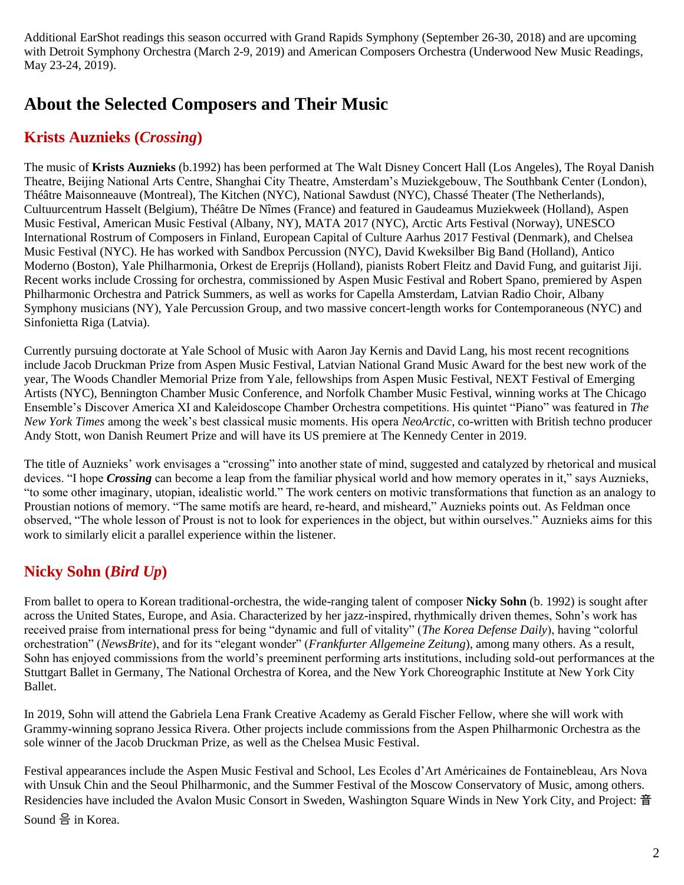Additional EarShot readings this season occurred with Grand Rapids Symphony (September 26-30, 2018) and are upcoming with Detroit Symphony Orchestra (March 2-9, 2019) and American Composers Orchestra (Underwood New Music Readings, May 23-24, 2019).

## **About the Selected Composers and Their Music**

### **Krists Auznieks (***Crossing***)**

The music of **Krists Auznieks** (b.1992) has been performed at The Walt Disney Concert Hall (Los Angeles), The Royal Danish Theatre, Beijing National Arts Centre, Shanghai City Theatre, Amsterdam's Muziekgebouw, The Southbank Center (London), Théâtre Maisonneauve (Montreal), The Kitchen (NYC), National Sawdust (NYC), Chassé Theater (The Netherlands), Cultuurcentrum Hasselt (Belgium), Théâtre De Nîmes (France) and featured in Gaudeamus Muziekweek (Holland), Aspen Music Festival, American Music Festival (Albany, NY), MATA 2017 (NYC), Arctic Arts Festival (Norway), UNESCO International Rostrum of Composers in Finland, European Capital of Culture Aarhus 2017 Festival (Denmark), and Chelsea Music Festival (NYC). He has worked with Sandbox Percussion (NYC), David Kweksilber Big Band (Holland), Antico Moderno (Boston), Yale Philharmonia, Orkest de Ereprijs (Holland), pianists Robert Fleitz and David Fung, and guitarist Jiji. Recent works include Crossing for orchestra, commissioned by Aspen Music Festival and Robert Spano, premiered by Aspen Philharmonic Orchestra and Patrick Summers, as well as works for Capella Amsterdam, Latvian Radio Choir, Albany Symphony musicians (NY), Yale Percussion Group, and two massive concert-length works for Contemporaneous (NYC) and Sinfonietta Riga (Latvia).

Currently pursuing doctorate at Yale School of Music with Aaron Jay Kernis and David Lang, his most recent recognitions include Jacob Druckman Prize from Aspen Music Festival, Latvian National Grand Music Award for the best new work of the year, The Woods Chandler Memorial Prize from Yale, fellowships from Aspen Music Festival, NEXT Festival of Emerging Artists (NYC), Bennington Chamber Music Conference, and Norfolk Chamber Music Festival, winning works at The Chicago Ensemble's Discover America XI and Kaleidoscope Chamber Orchestra competitions. His quintet "Piano" was featured in *The New York Times* among the week's best classical music moments. His opera *NeoArctic*, co-written with British techno producer Andy Stott, won Danish Reumert Prize and will have its US premiere at The Kennedy Center in 2019.

The title of Auznieks' work envisages a "crossing" into another state of mind, suggested and catalyzed by rhetorical and musical devices. "I hope *Crossing* can become a leap from the familiar physical world and how memory operates in it," says Auznieks, "to some other imaginary, utopian, idealistic world." The work centers on motivic transformations that function as an analogy to Proustian notions of memory. "The same motifs are heard, re-heard, and misheard," Auznieks points out. As Feldman once observed, "The whole lesson of Proust is not to look for experiences in the object, but within ourselves." Auznieks aims for this work to similarly elicit a parallel experience within the listener.

## **Nicky Sohn (***Bird Up***)**

From ballet to opera to Korean traditional-orchestra, the wide-ranging talent of composer **Nicky Sohn** (b. 1992) is sought after across the United States, Europe, and Asia. Characterized by her jazz-inspired, rhythmically driven themes, Sohn's work has received praise from international press for being "dynamic and full of vitality" (*The Korea Defense Daily*), having "colorful orchestration" (*NewsBrite*), and for its "elegant wonder" (*Frankfurter Allgemeine Zeitung*), among many others. As a result, Sohn has enjoyed commissions from the world's preeminent performing arts institutions, including sold-out performances at the Stuttgart Ballet in Germany, The National Orchestra of Korea, and the New York Choreographic Institute at New York City Ballet.

In 2019, Sohn will attend the Gabriela Lena Frank Creative Academy as Gerald Fischer Fellow, where she will work with Grammy-winning soprano Jessica Rivera. Other projects include commissions from the Aspen Philharmonic Orchestra as the sole winner of the Jacob Druckman Prize, as well as the Chelsea Music Festival.

Festival appearances include the Aspen Music Festival and School, Les Ecoles d'Art Américaines de Fontainebleau, Ars Nova with Unsuk Chin and the Seoul Philharmonic, and the Summer Festival of the Moscow Conservatory of Music, among others. Residencies have included the Avalon Music Consort in Sweden, Washington Square Winds in New York City, and Project: 音 Sound 음 in Korea.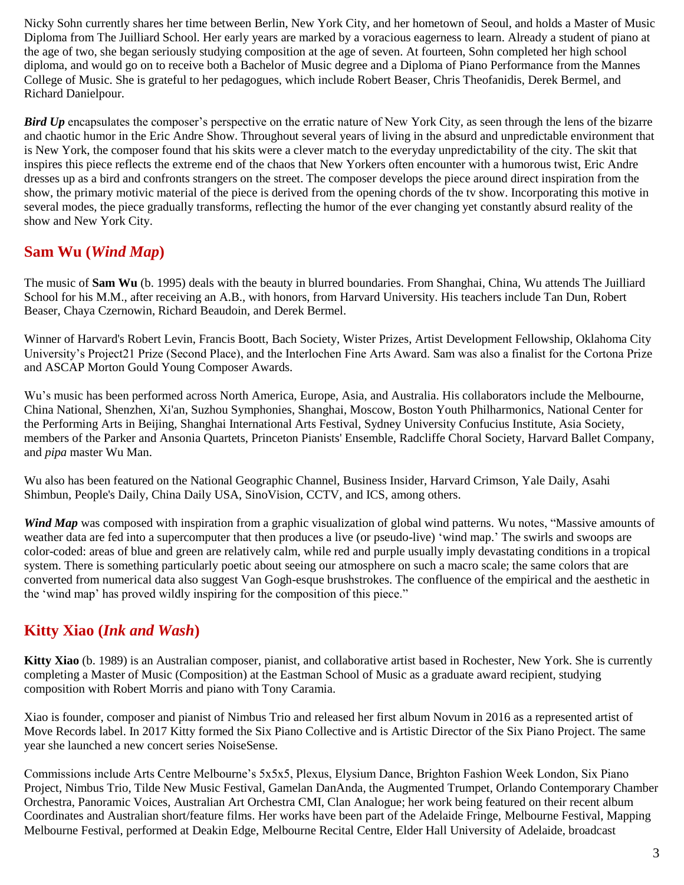Nicky Sohn currently shares her time between Berlin, New York City, and her hometown of Seoul, and holds a Master of Music Diploma from The Juilliard School. Her early years are marked by a voracious eagerness to learn. Already a student of piano at the age of two, she began seriously studying composition at the age of seven. At fourteen, Sohn completed her high school diploma, and would go on to receive both a Bachelor of Music degree and a Diploma of Piano Performance from the Mannes College of Music. She is grateful to her pedagogues, which include Robert Beaser, Chris Theofanidis, Derek Bermel, and Richard Danielpour.

*Bird Up* encapsulates the composer's perspective on the erratic nature of New York City, as seen through the lens of the bizarre and chaotic humor in the Eric Andre Show. Throughout several years of living in the absurd and unpredictable environment that is New York, the composer found that his skits were a clever match to the everyday unpredictability of the city. The skit that inspires this piece reflects the extreme end of the chaos that New Yorkers often encounter with a humorous twist, Eric Andre dresses up as a bird and confronts strangers on the street. The composer develops the piece around direct inspiration from the show, the primary motivic material of the piece is derived from the opening chords of the tv show. Incorporating this motive in several modes, the piece gradually transforms, reflecting the humor of the ever changing yet constantly absurd reality of the show and New York City.

#### **Sam Wu (***Wind Map***)**

The music of **Sam Wu** (b. 1995) deals with the beauty in blurred boundaries. From Shanghai, China, Wu attends The Juilliard School for his M.M., after receiving an A.B., with honors, from Harvard University. His teachers include Tan Dun, Robert Beaser, Chaya Czernowin, Richard Beaudoin, and Derek Bermel.

Winner of Harvard's Robert Levin, Francis Boott, Bach Society, Wister Prizes, Artist Development Fellowship, Oklahoma City University's Project21 Prize (Second Place), and the Interlochen Fine Arts Award. Sam was also a finalist for the Cortona Prize and ASCAP Morton Gould Young Composer Awards.

Wu's music has been performed across North America, Europe, Asia, and Australia. His collaborators include the Melbourne, China National, Shenzhen, Xi'an, Suzhou Symphonies, Shanghai, Moscow, Boston Youth Philharmonics, National Center for the Performing Arts in Beijing, Shanghai International Arts Festival, Sydney University Confucius Institute, Asia Society, members of the Parker and Ansonia Quartets, Princeton Pianists' Ensemble, Radcliffe Choral Society, Harvard Ballet Company, and *pipa* master Wu Man.

Wu also has been featured on the National Geographic Channel, Business Insider, Harvard Crimson, Yale Daily, Asahi Shimbun, People's Daily, China Daily USA, SinoVision, CCTV, and ICS, among others.

*Wind Map* was composed with inspiration from a graphic visualization of global wind patterns. Wu notes, "Massive amounts of weather data are fed into a supercomputer that then produces a live (or pseudo-live) 'wind map.' The swirls and swoops are color-coded: areas of blue and green are relatively calm, while red and purple usually imply devastating conditions in a tropical system. There is something particularly poetic about seeing our atmosphere on such a macro scale; the same colors that are converted from numerical data also suggest Van Gogh-esque brushstrokes. The confluence of the empirical and the aesthetic in the 'wind map' has proved wildly inspiring for the composition of this piece."

#### **Kitty Xiao (***Ink and Wash***)**

**Kitty Xiao** (b. 1989) is an Australian composer, pianist, and collaborative artist based in Rochester, New York. She is currently completing a Master of Music (Composition) at the Eastman School of Music as a graduate award recipient, studying composition with Robert Morris and piano with Tony Caramia.

Xiao is founder, composer and pianist of Nimbus Trio and released her first album Novum in 2016 as a represented artist of Move Records label. In 2017 Kitty formed the Six Piano Collective and is Artistic Director of the Six Piano Project. The same year she launched a new concert series NoiseSense.

Commissions include Arts Centre Melbourne's 5x5x5, Plexus, Elysium Dance, Brighton Fashion Week London, Six Piano Project, Nimbus Trio, Tilde New Music Festival, Gamelan DanAnda, the Augmented Trumpet, Orlando Contemporary Chamber Orchestra, Panoramic Voices, Australian Art Orchestra CMI, Clan Analogue; her work being featured on their recent album Coordinates and Australian short/feature films. Her works have been part of the Adelaide Fringe, Melbourne Festival, Mapping Melbourne Festival, performed at Deakin Edge, Melbourne Recital Centre, Elder Hall University of Adelaide, broadcast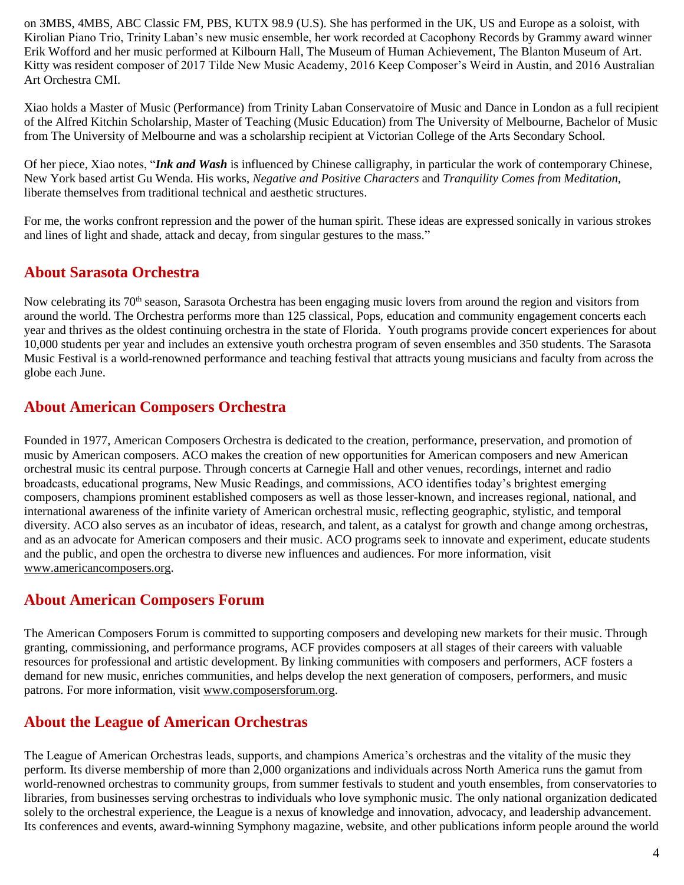on 3MBS, 4MBS, ABC Classic FM, PBS, KUTX 98.9 (U.S). She has performed in the UK, US and Europe as a soloist, with Kirolian Piano Trio, Trinity Laban's new music ensemble, her work recorded at Cacophony Records by Grammy award winner Erik Wofford and her music performed at Kilbourn Hall, The Museum of Human Achievement, The Blanton Museum of Art. Kitty was resident composer of 2017 Tilde New Music Academy, 2016 Keep Composer's Weird in Austin, and 2016 Australian Art Orchestra CMI.

Xiao holds a Master of Music (Performance) from Trinity Laban Conservatoire of Music and Dance in London as a full recipient of the Alfred Kitchin Scholarship, Master of Teaching (Music Education) from The University of Melbourne, Bachelor of Music from The University of Melbourne and was a scholarship recipient at Victorian College of the Arts Secondary School.

Of her piece, Xiao notes, "*Ink and Wash* is influenced by Chinese calligraphy, in particular the work of contemporary Chinese, New York based artist Gu Wenda. His works, *Negative and Positive Characters* and *Tranquility Comes from Meditation,* liberate themselves from traditional technical and aesthetic structures.

For me, the works confront repression and the power of the human spirit. These ideas are expressed sonically in various strokes and lines of light and shade, attack and decay, from singular gestures to the mass."

#### **About Sarasota Orchestra**

Now celebrating its  $70<sup>th</sup>$  season, Sarasota Orchestra has been engaging music lovers from around the region and visitors from around the world. The Orchestra performs more than 125 classical, Pops, education and community engagement concerts each year and thrives as the oldest continuing orchestra in the state of Florida. Youth programs provide concert experiences for about 10,000 students per year and includes an extensive youth orchestra program of seven ensembles and 350 students. The Sarasota Music Festival is a world-renowned performance and teaching festival that attracts young musicians and faculty from across the globe each June.

#### **About American Composers Orchestra**

Founded in 1977, American Composers Orchestra is dedicated to the creation, performance, preservation, and promotion of music by American composers. ACO makes the creation of new opportunities for American composers and new American orchestral music its central purpose. Through concerts at Carnegie Hall and other venues, recordings, internet and radio broadcasts, educational programs, New Music Readings, and commissions, ACO identifies today's brightest emerging composers, champions prominent established composers as well as those lesser-known, and increases regional, national, and international awareness of the infinite variety of American orchestral music, reflecting geographic, stylistic, and temporal diversity. ACO also serves as an incubator of ideas, research, and talent, as a catalyst for growth and change among orchestras, and as an advocate for American composers and their music. ACO programs seek to innovate and experiment, educate students and the public, and open the orchestra to diverse new influences and audiences. For more information, visit [www.americancomposers.org.](http://www.americancomposers.org/)

#### **About American Composers Forum**

The American Composers Forum is committed to supporting composers and developing new markets for their music. Through granting, commissioning, and performance programs, ACF provides composers at all stages of their careers with valuable resources for professional and artistic development. By linking communities with composers and performers, ACF fosters a demand for new music, enriches communities, and helps develop the next generation of composers, performers, and music patrons. For more information, visit [www.composersforum.org.](http://www.composersforum.org/)

#### **About the League of American Orchestras**

The League of American Orchestras leads, supports, and champions America's orchestras and the vitality of the music they perform. Its diverse membership of more than 2,000 organizations and individuals across North America runs the gamut from world-renowned orchestras to community groups, from summer festivals to student and youth ensembles, from conservatories to libraries, from businesses serving orchestras to individuals who love symphonic music. The only national organization dedicated solely to the orchestral experience, the League is a nexus of knowledge and innovation, advocacy, and leadership advancement. Its conferences and events, award-winning Symphony magazine, website, and other publications inform people around the world